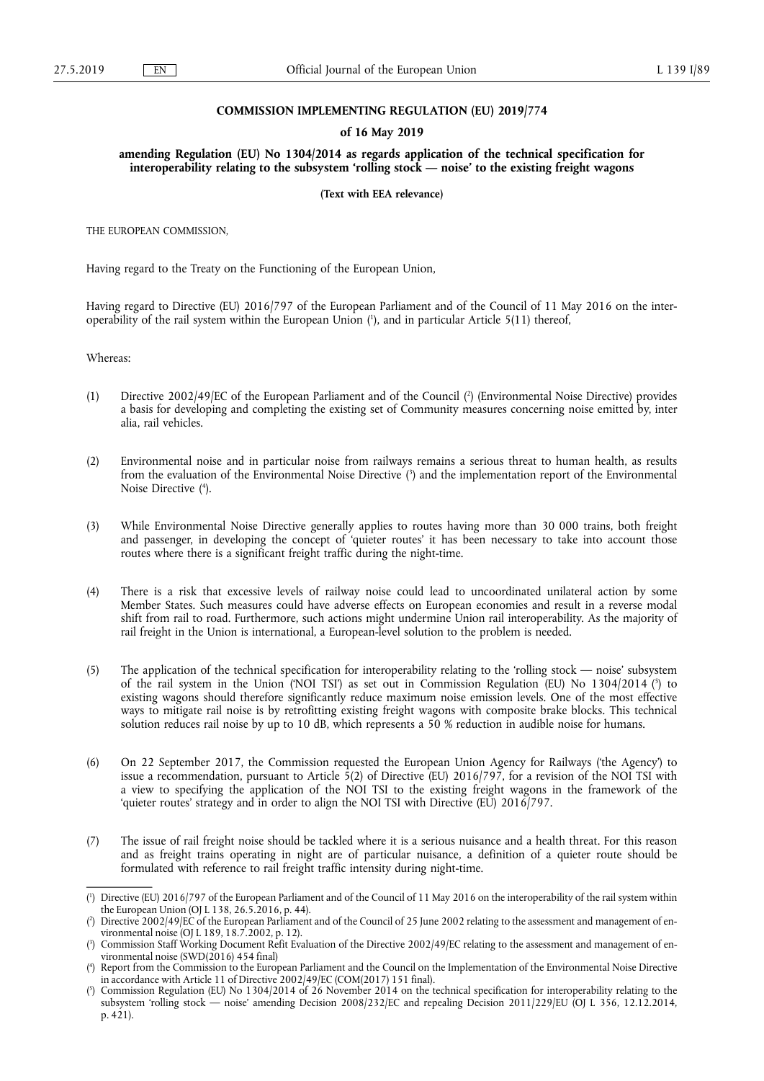### **COMMISSION IMPLEMENTING REGULATION (EU) 2019/774**

#### **of 16 May 2019**

**amending Regulation (EU) No 1304/2014 as regards application of the technical specification for interoperability relating to the subsystem 'rolling stock — noise' to the existing freight wagons** 

#### **(Text with EEA relevance)**

THE EUROPEAN COMMISSION,

Having regard to the Treaty on the Functioning of the European Union,

Having regard to Directive (EU) 2016/797 of the European Parliament and of the Council of 11 May 2016 on the interoperability of the rail system within the European Union ( 1 ), and in particular Article 5(11) thereof,

Whereas:

- (1) Directive 2002/49/EC of the European Parliament and of the Council ( 2 ) (Environmental Noise Directive) provides a basis for developing and completing the existing set of Community measures concerning noise emitted by, inter alia, rail vehicles.
- (2) Environmental noise and in particular noise from railways remains a serious threat to human health, as results from the evaluation of the Environmental Noise Directive ( 3 ) and the implementation report of the Environmental Noise Directive ( 4 ).
- (3) While Environmental Noise Directive generally applies to routes having more than 30 000 trains, both freight and passenger, in developing the concept of 'quieter routes' it has been necessary to take into account those routes where there is a significant freight traffic during the night-time.
- (4) There is a risk that excessive levels of railway noise could lead to uncoordinated unilateral action by some Member States. Such measures could have adverse effects on European economies and result in a reverse modal shift from rail to road. Furthermore, such actions might undermine Union rail interoperability. As the majority of rail freight in the Union is international, a European-level solution to the problem is needed.
- (5) The application of the technical specification for interoperability relating to the 'rolling stock noise' subsystem of the rail system in the Union ('NOI TSI') as set out in Commission Regulation (EU) No 1304/2014 (<sup>5</sup>) to existing wagons should therefore significantly reduce maximum noise emission levels. One of the most effective ways to mitigate rail noise is by retrofitting existing freight wagons with composite brake blocks. This technical solution reduces rail noise by up to 10 dB, which represents a 50 % reduction in audible noise for humans.
- (6) On 22 September 2017, the Commission requested the European Union Agency for Railways ('the Agency') to issue a recommendation, pursuant to Article 5(2) of Directive (EU) 2016/797, for a revision of the NOI TSI with a view to specifying the application of the NOI TSI to the existing freight wagons in the framework of the 'quieter routes' strategy and in order to align the NOI TSI with Directive (EU) 2016/797.
- (7) The issue of rail freight noise should be tackled where it is a serious nuisance and a health threat. For this reason and as freight trains operating in night are of particular nuisance, a definition of a quieter route should be formulated with reference to rail freight traffic intensity during night-time.

<sup>(</sup> 1 ) Directive (EU) 2016/797 of the European Parliament and of the Council of 11 May 2016 on the interoperability of the rail system within the European Union (OJ L 138, 26.5.2016, p. 44).

<sup>(</sup> 2 ) Directive 2002/49/EC of the European Parliament and of the Council of 25 June 2002 relating to the assessment and management of environmental noise (OJ L 189, 18.7.2002, p. 12).

<sup>(</sup> 3 ) Commission Staff Working Document Refit Evaluation of the Directive 2002/49/EC relating to the assessment and management of environmental noise (SWD(2016) 454 final)

<sup>(</sup> 4 ) Report from the Commission to the European Parliament and the Council on the Implementation of the Environmental Noise Directive in accordance with Article 11 of Directive 2002/49/EC (COM(2017) 151 final).

<sup>(</sup> 5 ) Commission Regulation (EU) No 1304/2014 of 26 November 2014 on the technical specification for interoperability relating to the subsystem 'rolling stock — noise' amending Decision 2008/232/EC and repealing Decision 2011/229/EU (OJ L 356, 12.12.2014, p. 421).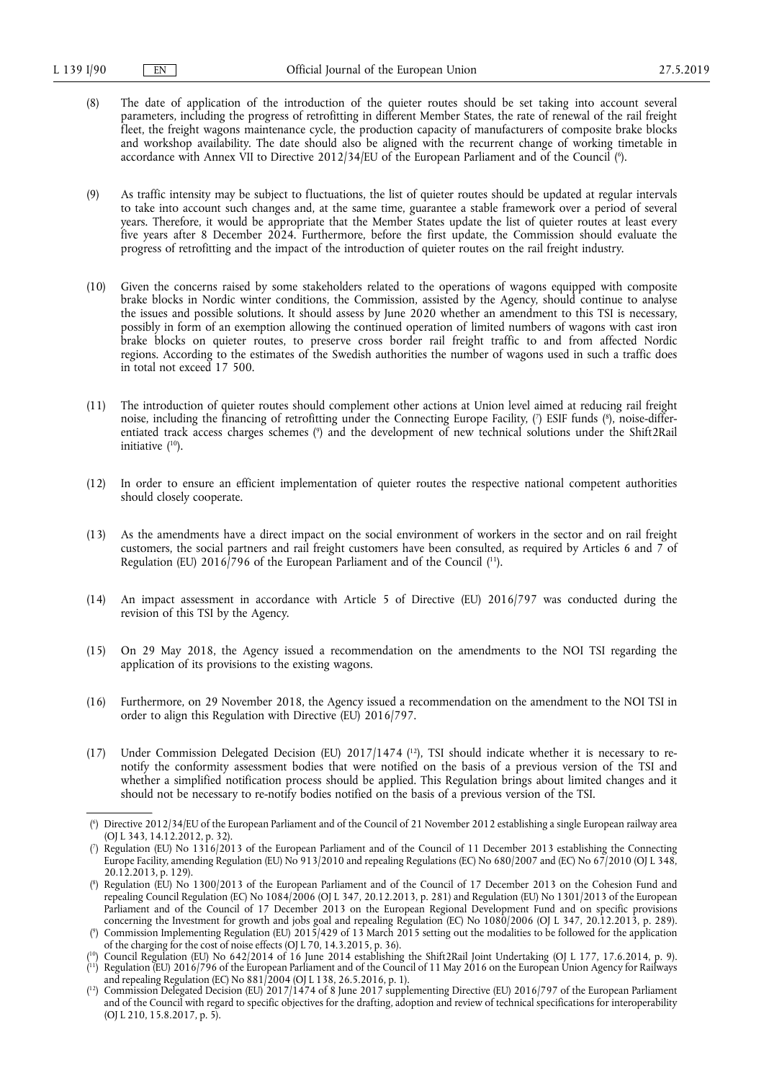- (8) The date of application of the introduction of the quieter routes should be set taking into account several parameters, including the progress of retrofitting in different Member States, the rate of renewal of the rail freight fleet, the freight wagons maintenance cycle, the production capacity of manufacturers of composite brake blocks and workshop availability. The date should also be aligned with the recurrent change of working timetable in accordance with Annex VII to Directive 2012/34/EU of the European Parliament and of the Council (°).
- (9) As traffic intensity may be subject to fluctuations, the list of quieter routes should be updated at regular intervals to take into account such changes and, at the same time, guarantee a stable framework over a period of several years. Therefore, it would be appropriate that the Member States update the list of quieter routes at least every five years after 8 December 2024. Furthermore, before the first update, the Commission should evaluate the progress of retrofitting and the impact of the introduction of quieter routes on the rail freight industry.
- (10) Given the concerns raised by some stakeholders related to the operations of wagons equipped with composite brake blocks in Nordic winter conditions, the Commission, assisted by the Agency, should continue to analyse the issues and possible solutions. It should assess by June 2020 whether an amendment to this TSI is necessary, possibly in form of an exemption allowing the continued operation of limited numbers of wagons with cast iron brake blocks on quieter routes, to preserve cross border rail freight traffic to and from affected Nordic regions. According to the estimates of the Swedish authorities the number of wagons used in such a traffic does in total not exceed 17 500.
- (11) The introduction of quieter routes should complement other actions at Union level aimed at reducing rail freight noise, including the financing of retrofitting under the Connecting Europe Facility, (') ESIF funds (8), noise-differentiated track access charges schemes ( 9 ) and the development of new technical solutions under the Shift2Rail initiative ( 10).
- (12) In order to ensure an efficient implementation of quieter routes the respective national competent authorities should closely cooperate.
- (13) As the amendments have a direct impact on the social environment of workers in the sector and on rail freight customers, the social partners and rail freight customers have been consulted, as required by Articles 6 and  $\bar{\gamma}$  of Regulation (EU) 2016/796 of the European Parliament and of the Council (<sup>11</sup>).
- (14) An impact assessment in accordance with Article 5 of Directive (EU) 2016/797 was conducted during the revision of this TSI by the Agency.
- (15) On 29 May 2018, the Agency issued a recommendation on the amendments to the NOI TSI regarding the application of its provisions to the existing wagons.
- (16) Furthermore, on 29 November 2018, the Agency issued a recommendation on the amendment to the NOI TSI in order to align this Regulation with Directive (EU) 2016/797.
- (17) Under Commission Delegated Decision (EU) 2017/1474 ( 12), TSI should indicate whether it is necessary to renotify the conformity assessment bodies that were notified on the basis of a previous version of the TSI and whether a simplified notification process should be applied. This Regulation brings about limited changes and it should not be necessary to re-notify bodies notified on the basis of a previous version of the TSI.

<sup>(</sup> 6 ) Directive 2012/34/EU of the European Parliament and of the Council of 21 November 2012 establishing a single European railway area (OJ L 343, 14.12.2012, p. 32).

<sup>(</sup> 7 ) Regulation (EU) No 1316/2013 of the European Parliament and of the Council of 11 December 2013 establishing the Connecting Europe Facility, amending Regulation (EU) No 913/2010 and repealing Regulations (EC) No 680/2007 and (EC) No 67/2010 (OJ L 348, 20.12.2013, p. 129).

<sup>(</sup> 8 ) Regulation (EU) No 1300/2013 of the European Parliament and of the Council of 17 December 2013 on the Cohesion Fund and repealing Council Regulation (EC) No 1084/2006 (OJ L 347, 20.12.2013, p. 281) and Regulation (EU) No 1301/2013 of the European Parliament and of the Council of 17 December 2013 on the European Regional Development Fund and on specific provisions concerning the Investment for growth and jobs goal and repealing Regulation (EC) No 1080/2006 (OJ L 347, 20.12.2013, p. 289). ( 9 ) Commission Implementing Regulation (EU) 2015/429 of 13 March 2015 setting out the modalities to be followed for the application

of the charging for the cost of noise effects (OJ L 70, 14.3.2015, p. 36).

<sup>(</sup> 10) Council Regulation (EU) No 642/2014 of 16 June 2014 establishing the Shift2Rail Joint Undertaking (OJ L 177, 17.6.2014, p. 9). ( 11) Regulation (EU) 2016/796 of the European Parliament and of the Council of 11 May 2016 on the European Union Agency for Railways and repealing Regulation (EC) No 881/2004 (OJ L 138, 26.5.2016, p. 1).

 $(^{12})$  Commission Delegated Decision (EU) 2017/1474 of 8 June 2017 supplementing Directive (EU) 2016/797 of the European Parliament and of the Council with regard to specific objectives for the drafting, adoption and review of technical specifications for interoperability (OJ L 210, 15.8.2017, p. 5).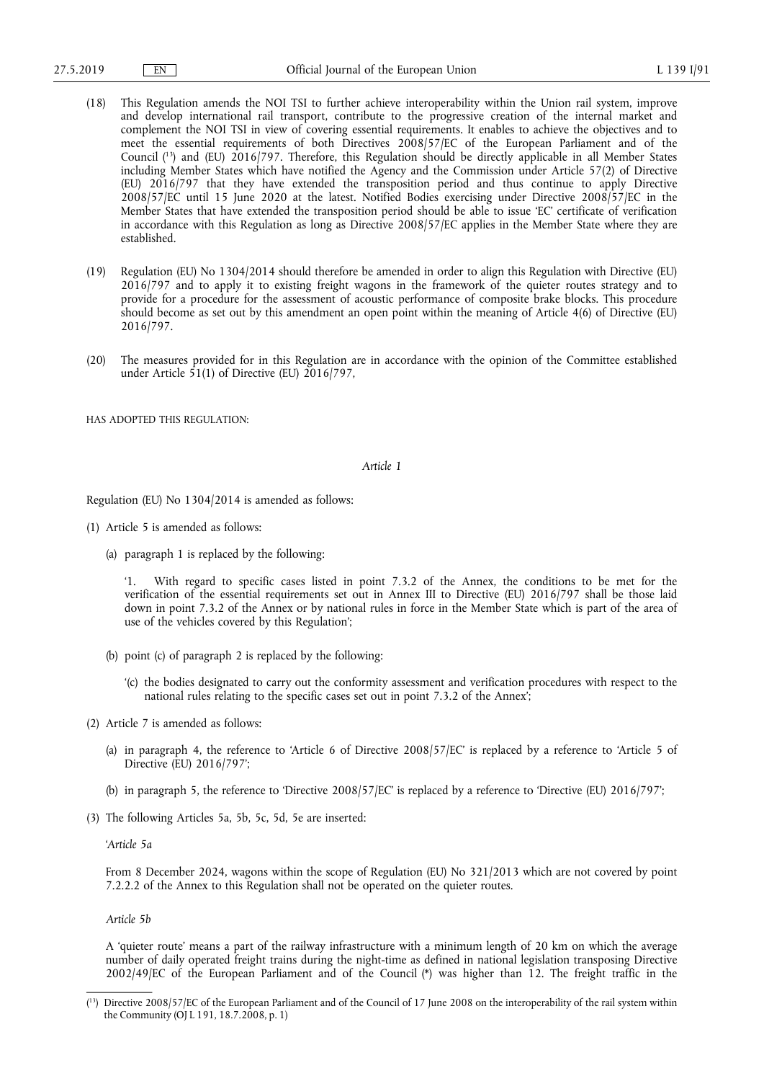- (18) This Regulation amends the NOI TSI to further achieve interoperability within the Union rail system, improve and develop international rail transport, contribute to the progressive creation of the internal market and complement the NOI TSI in view of covering essential requirements. It enables to achieve the objectives and to meet the essential requirements of both Directives 2008/57/EC of the European Parliament and of the Council ( 13) and (EU) 2016/797. Therefore, this Regulation should be directly applicable in all Member States including Member States which have notified the Agency and the Commission under Article 57(2) of Directive (EU) 2016/797 that they have extended the transposition period and thus continue to apply Directive 2008/57/EC until 15 June 2020 at the latest. Notified Bodies exercising under Directive 2008/57/EC in the Member States that have extended the transposition period should be able to issue 'EC' certificate of verification in accordance with this Regulation as long as Directive 2008/57/EC applies in the Member State where they are established.
- (19) Regulation (EU) No 1304/2014 should therefore be amended in order to align this Regulation with Directive (EU) 2016/797 and to apply it to existing freight wagons in the framework of the quieter routes strategy and to provide for a procedure for the assessment of acoustic performance of composite brake blocks. This procedure should become as set out by this amendment an open point within the meaning of Article 4(6) of Directive (EU) 2016/797.
- (20) The measures provided for in this Regulation are in accordance with the opinion of the Committee established under Article 51(1) of Directive (EU) 2016/797,

HAS ADOPTED THIS REGULATION·

#### *Article 1*

Regulation (EU) No 1304/2014 is amended as follows:

- (1) Article 5 is amended as follows:
	- (a) paragraph 1 is replaced by the following:

'1. With regard to specific cases listed in point 7.3.2 of the Annex, the conditions to be met for the verification of the essential requirements set out in Annex III to Directive (EU) 2016/797 shall be those laid down in point 7.3.2 of the Annex or by national rules in force in the Member State which is part of the area of use of the vehicles covered by this Regulation';

- (b) point (c) of paragraph 2 is replaced by the following:
	- '(c) the bodies designated to carry out the conformity assessment and verification procedures with respect to the national rules relating to the specific cases set out in point 7.3.2 of the Annex';
- (2) Article 7 is amended as follows:
	- (a) in paragraph 4, the reference to 'Article 6 of Directive 2008/57/EC' is replaced by a reference to 'Article 5 of Directive (EU) 2016/797';
	- (b) in paragraph 5, the reference to 'Directive 2008/57/EC' is replaced by a reference to 'Directive (EU) 2016/797';
- (3) The following Articles 5a, 5b, 5c, 5d, 5e are inserted:

'*Article 5a* 

From 8 December 2024, wagons within the scope of Regulation (EU) No 321/2013 which are not covered by point 7.2.2.2 of the Annex to this Regulation shall not be operated on the quieter routes.

*Article 5b* 

A 'quieter route' means a part of the railway infrastructure with a minimum length of 20 km on which the average number of daily operated freight trains during the night-time as defined in national legislation transposing Directive 2002/49/EC of the European Parliament and of the Council (\*) was higher than 12. The freight traffic in the

<sup>(</sup> 13) Directive 2008/57/EC of the European Parliament and of the Council of 17 June 2008 on the interoperability of the rail system within the Community (OJ L 191, 18.7.2008, p. 1)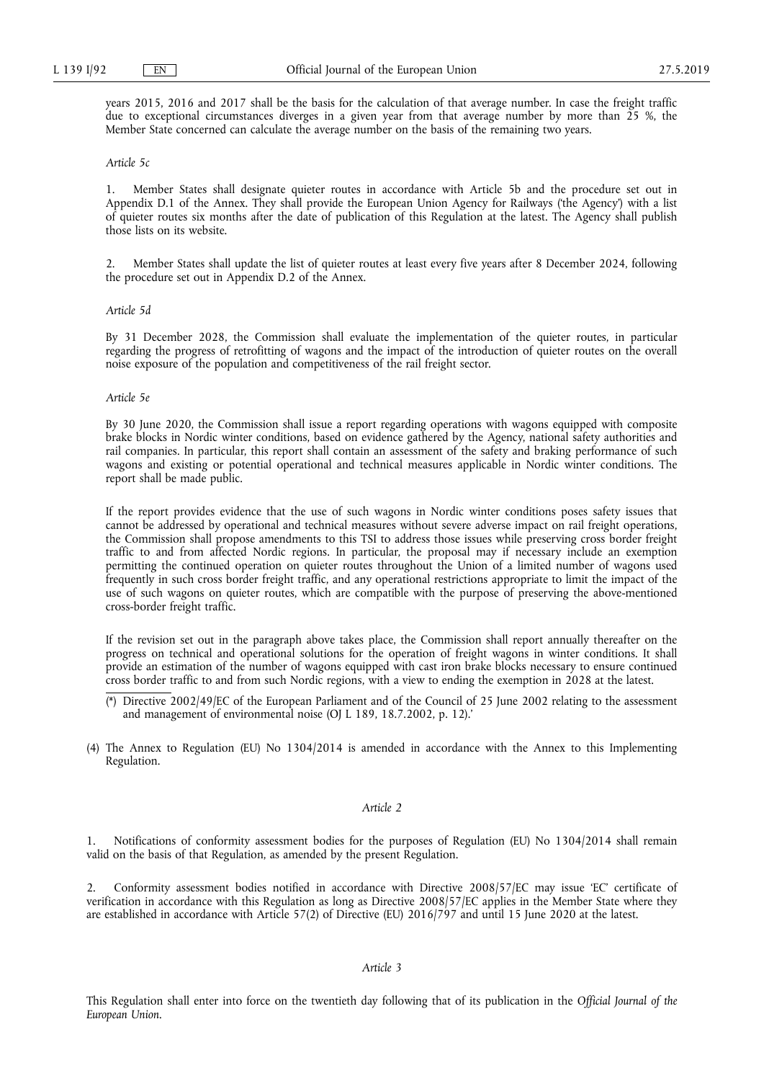years 2015, 2016 and 2017 shall be the basis for the calculation of that average number. In case the freight traffic due to exceptional circumstances diverges in a given year from that average number by more than 25 %, the Member State concerned can calculate the average number on the basis of the remaining two years.

## *Article 5c*

1. Member States shall designate quieter routes in accordance with Article 5b and the procedure set out in Appendix D.1 of the Annex. They shall provide the European Union Agency for Railways ('the Agency') with a list of quieter routes six months after the date of publication of this Regulation at the latest. The Agency shall publish those lists on its website.

2. Member States shall update the list of quieter routes at least every five years after 8 December 2024, following the procedure set out in Appendix D.2 of the Annex.

#### *Article 5d*

By 31 December 2028, the Commission shall evaluate the implementation of the quieter routes, in particular regarding the progress of retrofitting of wagons and the impact of the introduction of quieter routes on the overall noise exposure of the population and competitiveness of the rail freight sector.

#### *Article 5e*

By 30 June 2020, the Commission shall issue a report regarding operations with wagons equipped with composite brake blocks in Nordic winter conditions, based on evidence gathered by the Agency, national safety authorities and rail companies. In particular, this report shall contain an assessment of the safety and braking performance of such wagons and existing or potential operational and technical measures applicable in Nordic winter conditions. The report shall be made public.

If the report provides evidence that the use of such wagons in Nordic winter conditions poses safety issues that cannot be addressed by operational and technical measures without severe adverse impact on rail freight operations, the Commission shall propose amendments to this TSI to address those issues while preserving cross border freight traffic to and from affected Nordic regions. In particular, the proposal may if necessary include an exemption permitting the continued operation on quieter routes throughout the Union of a limited number of wagons used frequently in such cross border freight traffic, and any operational restrictions appropriate to limit the impact of the use of such wagons on quieter routes, which are compatible with the purpose of preserving the above-mentioned cross-border freight traffic.

If the revision set out in the paragraph above takes place, the Commission shall report annually thereafter on the progress on technical and operational solutions for the operation of freight wagons in winter conditions. It shall provide an estimation of the number of wagons equipped with cast iron brake blocks necessary to ensure continued cross border traffic to and from such Nordic regions, with a view to ending the exemption in 2028 at the latest.

- (\*) Directive 2002/49/EC of the European Parliament and of the Council of 25 June 2002 relating to the assessment and management of environmental noise (OJ L 189, 18.7.2002, p. 12).'
- (4) The Annex to Regulation (EU) No 1304/2014 is amended in accordance with the Annex to this Implementing Regulation.

### *Article 2*

1. Notifications of conformity assessment bodies for the purposes of Regulation (EU) No 1304/2014 shall remain valid on the basis of that Regulation, as amended by the present Regulation.

2. Conformity assessment bodies notified in accordance with Directive 2008/57/EC may issue 'EC' certificate of verification in accordance with this Regulation as long as Directive 2008/57/EC applies in the Member State where they are established in accordance with Article 57(2) of Directive (EU) 2016/797 and until 15 June 2020 at the latest.

## *Article 3*

This Regulation shall enter into force on the twentieth day following that of its publication in the *Official Journal of the European Union*.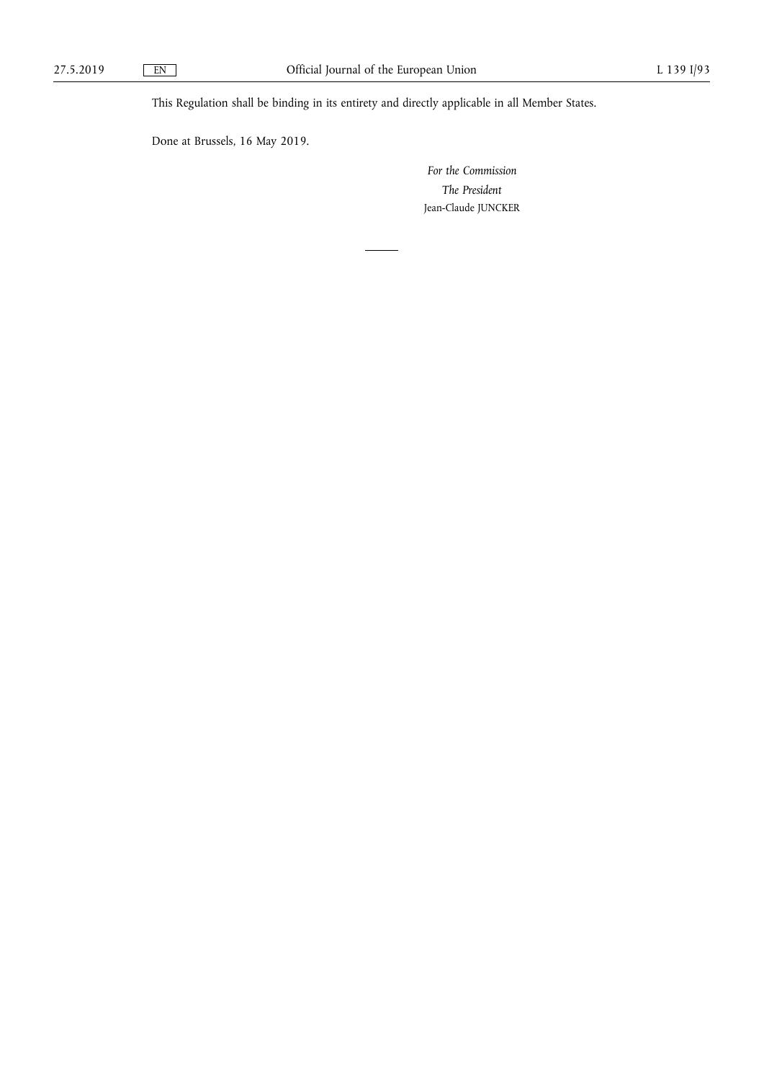This Regulation shall be binding in its entirety and directly applicable in all Member States.

Done at Brussels, 16 May 2019.

*For the Commission The President*  Jean-Claude JUNCKER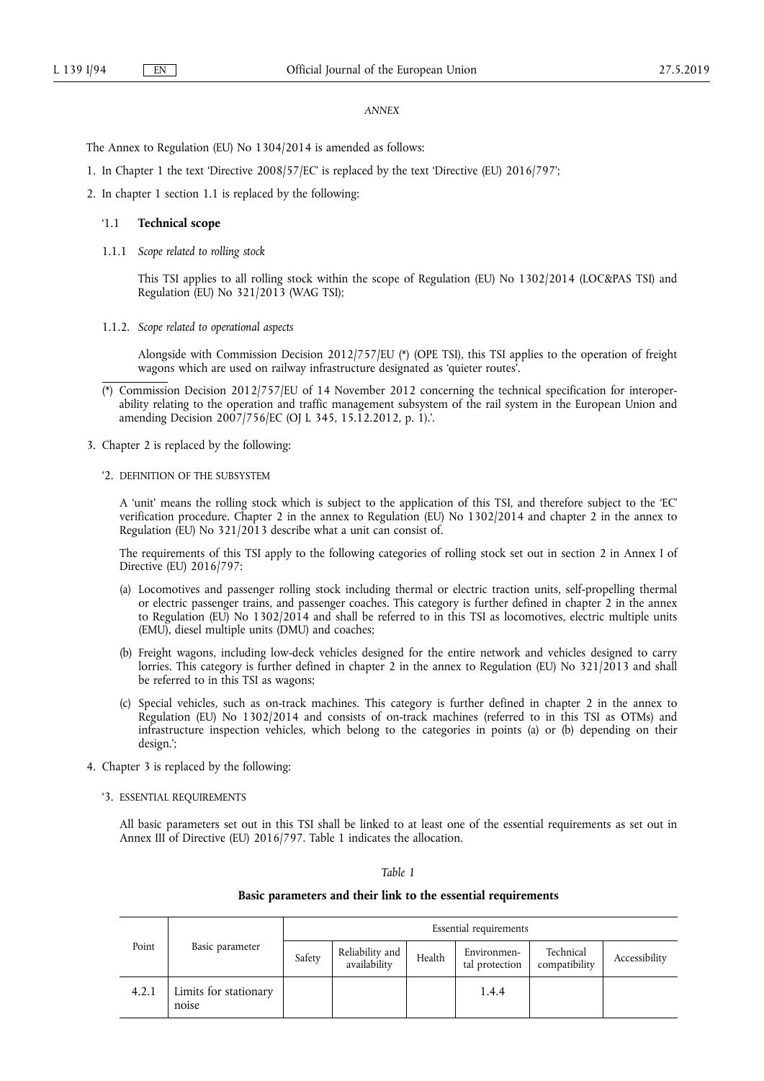#### *ANNEX*

The Annex to Regulation (EU) No 1304/2014 is amended as follows:

1. In Chapter 1 the text 'Directive 2008/57/EC' is replaced by the text 'Directive (EU) 2016/797';

2. In chapter 1 section 1.1 is replaced by the following:

## '1.1 **Technical scope**

1.1.1 *Scope related to rolling stock* 

This TSI applies to all rolling stock within the scope of Regulation (EU) No 1302/2014 (LOC&PAS TSI) and Regulation (EU) No 321/2013 (WAG TSI);

1.1.2. *Scope related to operational aspects* 

Alongside with Commission Decision 2012/757/EU (\*) (OPE TSI), this TSI applies to the operation of freight wagons which are used on railway infrastructure designated as 'quieter routes'.

- (\*) Commission Decision 2012/757/EU of 14 November 2012 concerning the technical specification for interoperability relating to the operation and traffic management subsystem of the rail system in the European Union and amending Decision 2007/756/EC (OJ L 345, 15.12.2012, p. 1).'.
- 3. Chapter 2 is replaced by the following:
	- '2. DEFINITION OF THE SUBSYSTEM

A 'unit' means the rolling stock which is subject to the application of this TSI, and therefore subject to the 'EC' verification procedure. Chapter 2 in the annex to Regulation (EU) No 1302/2014 and chapter 2 in the annex to Regulation (EU) No 321/2013 describe what a unit can consist of.

The requirements of this TSI apply to the following categories of rolling stock set out in section 2 in Annex I of Directive (EU) 2016/797:

- (a) Locomotives and passenger rolling stock including thermal or electric traction units, self-propelling thermal or electric passenger trains, and passenger coaches. This category is further defined in chapter 2 in the annex to Regulation (EU) No 1302/2014 and shall be referred to in this TSI as locomotives, electric multiple units (EMU), diesel multiple units (DMU) and coaches;
- (b) Freight wagons, including low-deck vehicles designed for the entire network and vehicles designed to carry lorries. This category is further defined in chapter 2 in the annex to Regulation (EU) No 321/2013 and shall be referred to in this TSI as wagons;
- (c) Special vehicles, such as on-track machines. This category is further defined in chapter 2 in the annex to Regulation (EU) No 1302/2014 and consists of on-track machines (referred to in this TSI as OTMs) and infrastructure inspection vehicles, which belong to the categories in points (a) or (b) depending on their design.';
- 4. Chapter 3 is replaced by the following:
	- '3. ESSENTIAL REQUIREMENTS

All basic parameters set out in this TSI shall be linked to at least one of the essential requirements as set out in Annex III of Directive (EU) 2016/797. Table 1 indicates the allocation.

## *Table 1*

## **Basic parameters and their link to the essential requirements**

|       |                                | Essential requirements |                                 |        |                               |                            |               |
|-------|--------------------------------|------------------------|---------------------------------|--------|-------------------------------|----------------------------|---------------|
| Point | Basic parameter                | Safety                 | Reliability and<br>availability | Health | Environmen-<br>tal protection | Technical<br>compatibility | Accessibility |
| 4.2.1 | Limits for stationary<br>noise |                        |                                 |        | 1.4.4                         |                            |               |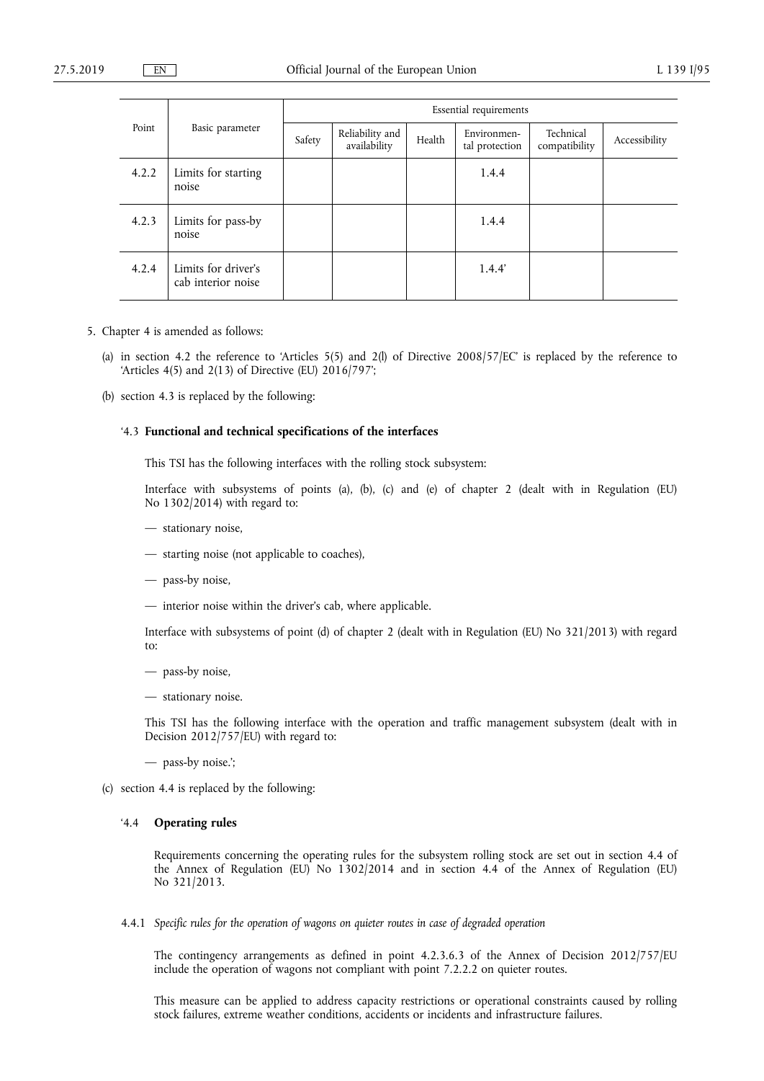| Point | Basic parameter                           | Essential requirements |                                 |        |                               |                            |               |
|-------|-------------------------------------------|------------------------|---------------------------------|--------|-------------------------------|----------------------------|---------------|
|       |                                           | Safety                 | Reliability and<br>availability | Health | Environmen-<br>tal protection | Technical<br>compatibility | Accessibility |
| 4.2.2 | Limits for starting<br>noise              |                        |                                 |        | 1.4.4                         |                            |               |
| 4.2.3 | Limits for pass-by<br>noise               |                        |                                 |        | 1.4.4                         |                            |               |
| 4.2.4 | Limits for driver's<br>cab interior noise |                        |                                 |        | 1.4.4'                        |                            |               |

- 5. Chapter 4 is amended as follows:
	- (a) in section 4.2 the reference to 'Articles 5(5) and 2(l) of Directive  $2008/57/EC$  is replaced by the reference to 'Articles 4(5) and 2(13) of Directive (EU) 2016/797';
	- (b) section 4.3 is replaced by the following:

## '4.3 **Functional and technical specifications of the interfaces**

This TSI has the following interfaces with the rolling stock subsystem:

Interface with subsystems of points (a), (b), (c) and (e) of chapter 2 (dealt with in Regulation (EU) No 1302/2014) with regard to:

- stationary noise,
- starting noise (not applicable to coaches),
- pass-by noise,
- interior noise within the driver's cab, where applicable.

Interface with subsystems of point (d) of chapter 2 (dealt with in Regulation (EU) No 321/2013) with regard to:

- pass-by noise,
- stationary noise.

This TSI has the following interface with the operation and traffic management subsystem (dealt with in Decision 2012/757/EU) with regard to:

- pass-by noise.';
- (c) section 4.4 is replaced by the following:

#### '4.4 **Operating rules**

Requirements concerning the operating rules for the subsystem rolling stock are set out in section 4.4 of the Annex of Regulation (EU) No 1302/2014 and in section 4.4 of the Annex of Regulation (EU) No 321/2013.

4.4.1 *Specific rules for the operation of wagons on quieter routes in case of degraded operation* 

The contingency arrangements as defined in point 4.2.3.6.3 of the Annex of Decision 2012/757/EU include the operation of wagons not compliant with point 7.2.2.2 on quieter routes.

This measure can be applied to address capacity restrictions or operational constraints caused by rolling stock failures, extreme weather conditions, accidents or incidents and infrastructure failures.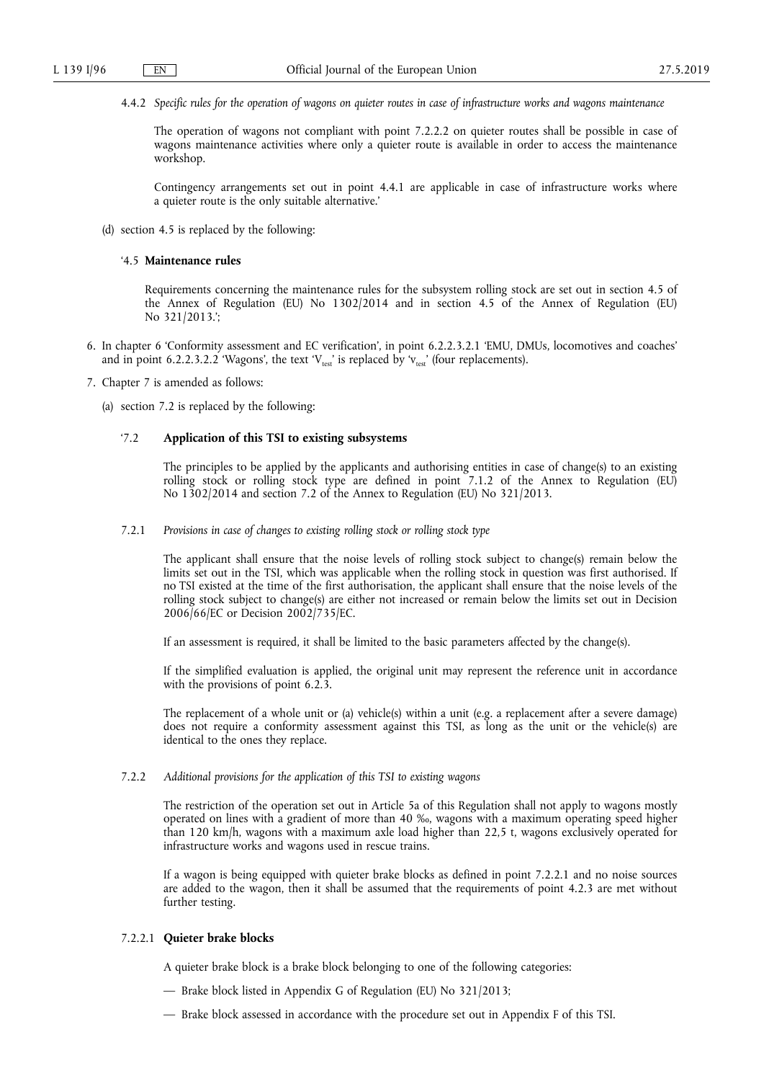4.4.2 *Specific rules for the operation of wagons on quieter routes in case of infrastructure works and wagons maintenance* 

The operation of wagons not compliant with point 7.2.2.2 on quieter routes shall be possible in case of wagons maintenance activities where only a quieter route is available in order to access the maintenance workshop.

Contingency arrangements set out in point 4.4.1 are applicable in case of infrastructure works where a quieter route is the only suitable alternative.'

(d) section 4.5 is replaced by the following:

## '4.5 **Maintenance rules**

Requirements concerning the maintenance rules for the subsystem rolling stock are set out in section 4.5 of the Annex of Regulation (EU) No 1302/2014 and in section 4.5 of the Annex of Regulation (EU) No 321/2013.';

- 6. In chapter 6 'Conformity assessment and EC verification', in point 6.2.2.3.2.1 'EMU, DMUs, locomotives and coaches' and in point 6.2.2.3.2.2 'Wagons', the text ' $V_{\text{test}}$ ' is replaced by ' $V_{\text{test}}$ ' (four replacements).
- 7. Chapter 7 is amended as follows:
	- (a) section 7.2 is replaced by the following:

## '7.2 **Application of this TSI to existing subsystems**

The principles to be applied by the applicants and authorising entities in case of change(s) to an existing rolling stock or rolling stock type are defined in point 7.1.2 of the Annex to Regulation (EU) No 1302/2014 and section 7.2 of the Annex to Regulation (EU) No 321/2013.

7.2.1 *Provisions in case of changes to existing rolling stock or rolling stock type* 

The applicant shall ensure that the noise levels of rolling stock subject to change(s) remain below the limits set out in the TSI, which was applicable when the rolling stock in question was first authorised. If no TSI existed at the time of the first authorisation, the applicant shall ensure that the noise levels of the rolling stock subject to change(s) are either not increased or remain below the limits set out in Decision 2006/66/EC or Decision 2002/735/EC.

If an assessment is required, it shall be limited to the basic parameters affected by the change(s).

If the simplified evaluation is applied, the original unit may represent the reference unit in accordance with the provisions of point 6.2.3.

The replacement of a whole unit or (a) vehicle(s) within a unit (e.g. a replacement after a severe damage) does not require a conformity assessment against this TSI, as long as the unit or the vehicle(s) are identical to the ones they replace.

## 7.2.2 *Additional provisions for the application of this TSI to existing wagons*

The restriction of the operation set out in Article 5a of this Regulation shall not apply to wagons mostly operated on lines with a gradient of more than 40 ‰, wagons with a maximum operating speed higher than 120 km/h, wagons with a maximum axle load higher than 22,5 t, wagons exclusively operated for infrastructure works and wagons used in rescue trains.

If a wagon is being equipped with quieter brake blocks as defined in point 7.2.2.1 and no noise sources are added to the wagon, then it shall be assumed that the requirements of point 4.2.3 are met without further testing.

## 7.2.2.1 **Quieter brake blocks**

A quieter brake block is a brake block belonging to one of the following categories:

- Brake block listed in Appendix G of Regulation (EU) No 321/2013;
- Brake block assessed in accordance with the procedure set out in Appendix F of this TSI.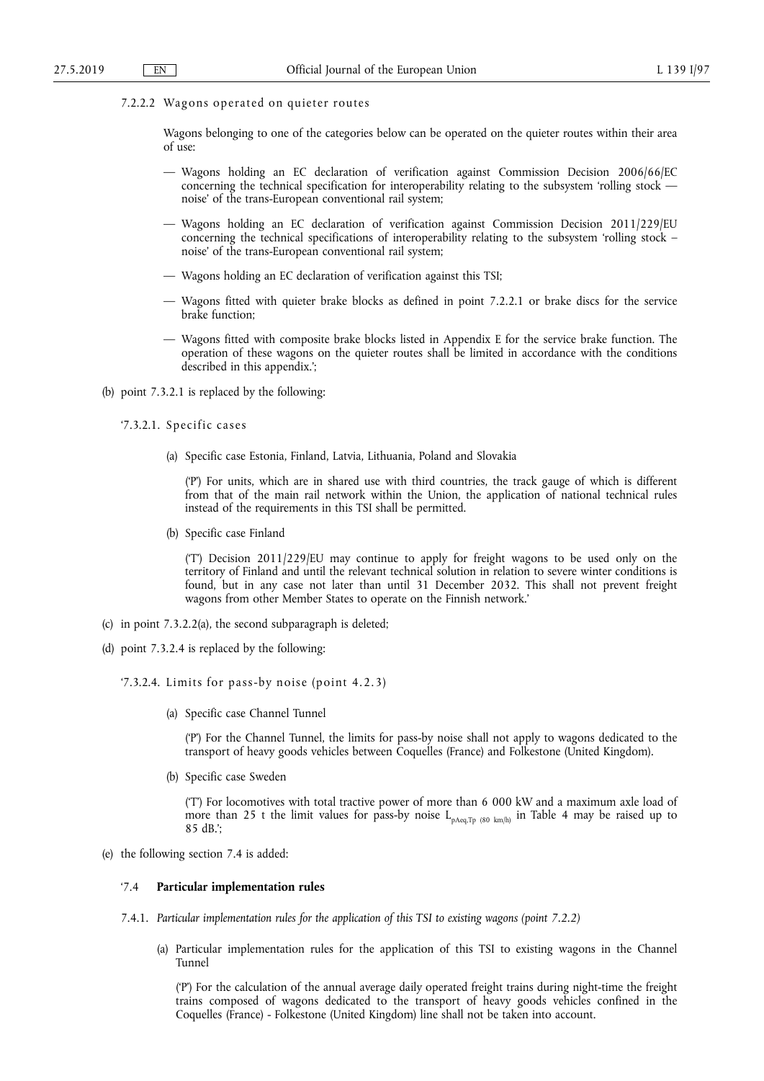7.2.2.2 Wagons operated on quieter routes

Wagons belonging to one of the categories below can be operated on the quieter routes within their area of use:

- Wagons holding an EC declaration of verification against Commission Decision 2006/66/EC concerning the technical specification for interoperability relating to the subsystem 'rolling stock noise' of the trans-European conventional rail system;
- Wagons holding an EC declaration of verification against Commission Decision 2011/229/EU concerning the technical specifications of interoperability relating to the subsystem 'rolling stock – noise' of the trans-European conventional rail system;
- Wagons holding an EC declaration of verification against this TSI;
- Wagons fitted with quieter brake blocks as defined in point 7.2.2.1 or brake discs for the service brake function;
- Wagons fitted with composite brake blocks listed in Appendix E for the service brake function. The operation of these wagons on the quieter routes shall be limited in accordance with the conditions described in this appendix.';
- (b) point 7.3.2.1 is replaced by the following:
	- '7.3.2.1. Specific cases
		- (a) Specific case Estonia, Finland, Latvia, Lithuania, Poland and Slovakia

('P') For units, which are in shared use with third countries, the track gauge of which is different from that of the main rail network within the Union, the application of national technical rules instead of the requirements in this TSI shall be permitted.

(b) Specific case Finland

('T') Decision 2011/229/EU may continue to apply for freight wagons to be used only on the territory of Finland and until the relevant technical solution in relation to severe winter conditions is found, but in any case not later than until 31 December 2032. This shall not prevent freight wagons from other Member States to operate on the Finnish network.'

- (c) in point 7.3.2.2(a), the second subparagraph is deleted;
- (d) point 7.3.2.4 is replaced by the following:
	- '7.3.2.4. Limits for pass-by noise (point 4.2.3)
		- (a) Specific case Channel Tunnel

('P') For the Channel Tunnel, the limits for pass-by noise shall not apply to wagons dedicated to the transport of heavy goods vehicles between Coquelles (France) and Folkestone (United Kingdom).

(b) Specific case Sweden

('T') For locomotives with total tractive power of more than 6 000 kW and a maximum axle load of more than 25 t the limit values for pass-by noise  $L_{pAeq,Tp (80 km/h)}$  in Table 4 may be raised up to 85 dB.';

(e) the following section 7.4 is added:

#### '7.4 **Particular implementation rules**

- 7.4.1. *Particular implementation rules for the application of this TSI to existing wagons (point 7.2.2)* 
	- (a) Particular implementation rules for the application of this TSI to existing wagons in the Channel Tunnel

('P') For the calculation of the annual average daily operated freight trains during night-time the freight trains composed of wagons dedicated to the transport of heavy goods vehicles confined in the Coquelles (France) - Folkestone (United Kingdom) line shall not be taken into account.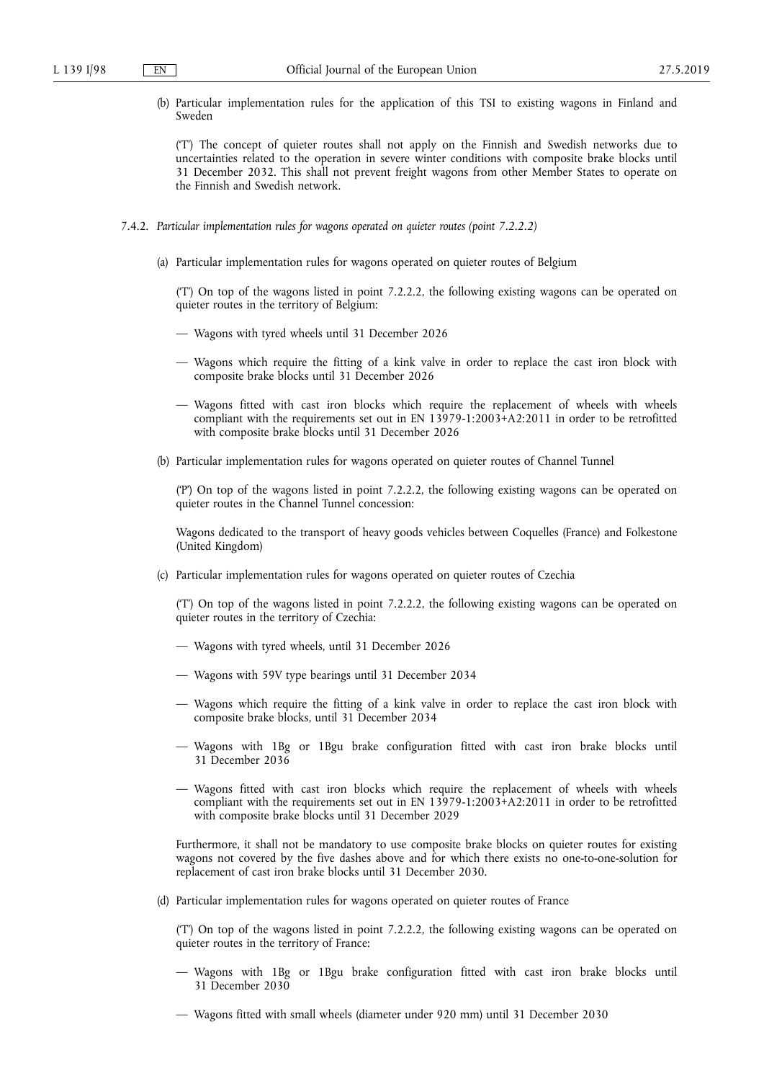(b) Particular implementation rules for the application of this TSI to existing wagons in Finland and Sweden

('T') The concept of quieter routes shall not apply on the Finnish and Swedish networks due to uncertainties related to the operation in severe winter conditions with composite brake blocks until 31 December 2032. This shall not prevent freight wagons from other Member States to operate on the Finnish and Swedish network.

- 7.4.2. *Particular implementation rules for wagons operated on quieter routes (point 7.2.2.2)* 
	- (a) Particular implementation rules for wagons operated on quieter routes of Belgium

('T') On top of the wagons listed in point 7.2.2.2, the following existing wagons can be operated on quieter routes in the territory of Belgium:

- Wagons with tyred wheels until 31 December 2026
- Wagons which require the fitting of a kink valve in order to replace the cast iron block with composite brake blocks until 31 December 2026
- Wagons fitted with cast iron blocks which require the replacement of wheels with wheels compliant with the requirements set out in EN 13979-1:2003+A2:2011 in order to be retrofitted with composite brake blocks until 31 December 2026
- (b) Particular implementation rules for wagons operated on quieter routes of Channel Tunnel

('P') On top of the wagons listed in point 7.2.2.2, the following existing wagons can be operated on quieter routes in the Channel Tunnel concession:

Wagons dedicated to the transport of heavy goods vehicles between Coquelles (France) and Folkestone (United Kingdom)

(c) Particular implementation rules for wagons operated on quieter routes of Czechia

('T') On top of the wagons listed in point 7.2.2.2, the following existing wagons can be operated on quieter routes in the territory of Czechia:

- Wagons with tyred wheels, until 31 December 2026
- Wagons with 59V type bearings until 31 December 2034
- Wagons which require the fitting of a kink valve in order to replace the cast iron block with composite brake blocks, until 31 December 2034
- Wagons with 1Bg or 1Bgu brake configuration fitted with cast iron brake blocks until 31 December 2036
- Wagons fitted with cast iron blocks which require the replacement of wheels with wheels compliant with the requirements set out in EN 13979-1:2003+A2:2011 in order to be retrofitted with composite brake blocks until 31 December 2029

Furthermore, it shall not be mandatory to use composite brake blocks on quieter routes for existing wagons not covered by the five dashes above and for which there exists no one-to-one-solution for replacement of cast iron brake blocks until 31 December 2030.

(d) Particular implementation rules for wagons operated on quieter routes of France

('T') On top of the wagons listed in point 7.2.2.2, the following existing wagons can be operated on quieter routes in the territory of France:

- Wagons with 1Bg or 1Bgu brake configuration fitted with cast iron brake blocks until 31 December 2030
- Wagons fitted with small wheels (diameter under 920 mm) until 31 December 2030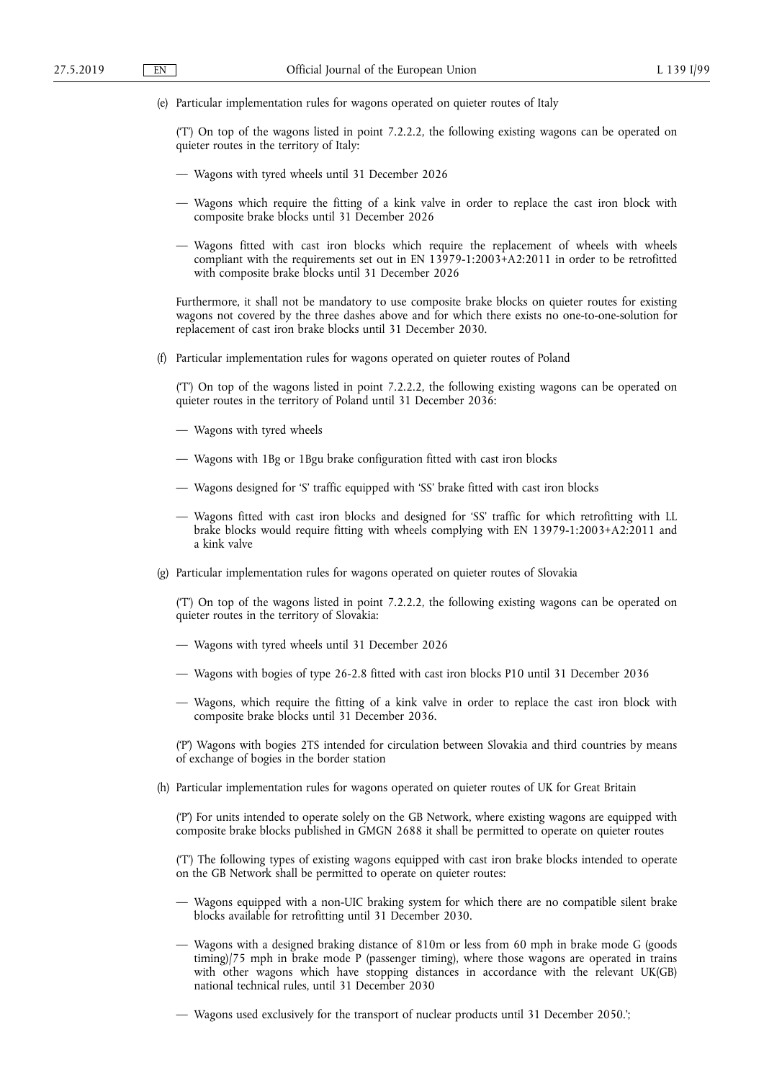(e) Particular implementation rules for wagons operated on quieter routes of Italy

('T') On top of the wagons listed in point 7.2.2.2, the following existing wagons can be operated on quieter routes in the territory of Italy:

- Wagons with tyred wheels until 31 December 2026
- Wagons which require the fitting of a kink valve in order to replace the cast iron block with composite brake blocks until 31 December 2026
- Wagons fitted with cast iron blocks which require the replacement of wheels with wheels compliant with the requirements set out in EN 13979-1:2003+A2:2011 in order to be retrofitted with composite brake blocks until 31 December 2026

Furthermore, it shall not be mandatory to use composite brake blocks on quieter routes for existing wagons not covered by the three dashes above and for which there exists no one-to-one-solution for replacement of cast iron brake blocks until 31 December 2030.

(f) Particular implementation rules for wagons operated on quieter routes of Poland

('T') On top of the wagons listed in point 7.2.2.2, the following existing wagons can be operated on quieter routes in the territory of Poland until 31 December 2036:

- Wagons with tyred wheels
- Wagons with 1Bg or 1Bgu brake configuration fitted with cast iron blocks
- Wagons designed for 'S' traffic equipped with 'SS' brake fitted with cast iron blocks
- Wagons fitted with cast iron blocks and designed for 'SS' traffic for which retrofitting with LL brake blocks would require fitting with wheels complying with EN 13979-1:2003+A2:2011 and a kink valve
- (g) Particular implementation rules for wagons operated on quieter routes of Slovakia

('T') On top of the wagons listed in point 7.2.2.2, the following existing wagons can be operated on quieter routes in the territory of Slovakia:

- Wagons with tyred wheels until 31 December 2026
- Wagons with bogies of type 26-2.8 fitted with cast iron blocks P10 until 31 December 2036
- Wagons, which require the fitting of a kink valve in order to replace the cast iron block with composite brake blocks until 31 December 2036.

('P') Wagons with bogies 2TS intended for circulation between Slovakia and third countries by means of exchange of bogies in the border station

(h) Particular implementation rules for wagons operated on quieter routes of UK for Great Britain

('P') For units intended to operate solely on the GB Network, where existing wagons are equipped with composite brake blocks published in GMGN 2688 it shall be permitted to operate on quieter routes

('T') The following types of existing wagons equipped with cast iron brake blocks intended to operate on the GB Network shall be permitted to operate on quieter routes:

- Wagons equipped with a non-UIC braking system for which there are no compatible silent brake blocks available for retrofitting until 31 December 2030.
- Wagons with a designed braking distance of 810m or less from 60 mph in brake mode G (goods timing)/75 mph in brake mode P (passenger timing), where those wagons are operated in trains with other wagons which have stopping distances in accordance with the relevant UK(GB) national technical rules, until 31 December 2030
- Wagons used exclusively for the transport of nuclear products until 31 December 2050.';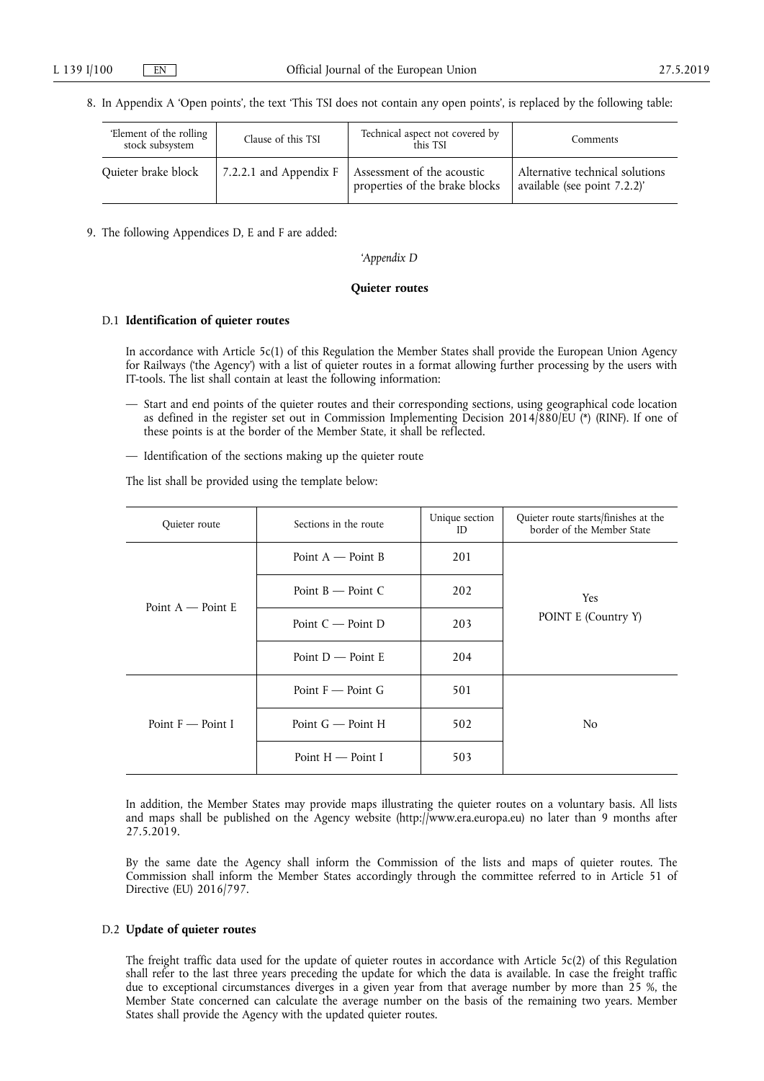8. In Appendix A 'Open points', the text 'This TSI does not contain any open points', is replaced by the following table:

| Element of the rolling<br>stock subsystem | Clause of this TSI       | Technical aspect not covered by<br>this TSI                  | Comments                                                        |
|-------------------------------------------|--------------------------|--------------------------------------------------------------|-----------------------------------------------------------------|
| Quieter brake block                       | 7.2.2.1 and Appendix $F$ | Assessment of the acoustic<br>properties of the brake blocks | Alternative technical solutions<br>available (see point 7.2.2)' |

9. The following Appendices D, E and F are added:

'*Appendix D* 

## **Quieter routes**

### D.1 **Identification of quieter routes**

In accordance with Article 5c(1) of this Regulation the Member States shall provide the European Union Agency for Railways ('the Agency') with a list of quieter routes in a format allowing further processing by the users with IT-tools. The list shall contain at least the following information:

- Start and end points of the quieter routes and their corresponding sections, using geographical code location as defined in the register set out in Commission Implementing Decision 2014/880/EU (\*) (RINF). If one of these points is at the border of the Member State, it shall be reflected.
- Identification of the sections making up the quieter route

The list shall be provided using the template below:

| Quieter route                 | Sections in the route             | Unique section<br>ID | Quieter route starts/finishes at the<br>border of the Member State |  |
|-------------------------------|-----------------------------------|----------------------|--------------------------------------------------------------------|--|
|                               | Point $A \rightarrow$ Point B     | 201                  |                                                                    |  |
| Point $A \rightarrow$ Point E | Point $B \rightarrow$ Point C     | 202                  | Yes.                                                               |  |
|                               | Point $C \rightarrow$ Point D     | 203                  | POINT E (Country Y)                                                |  |
|                               | Point $D$ — Point E               | 204                  |                                                                    |  |
|                               | Point $F \rightarrow$ Point G     | 501                  |                                                                    |  |
| Point $F \rightarrow$ Point I | Point $G -$ Point H               | 502                  | N <sub>0</sub>                                                     |  |
|                               | Point $H \longrightarrow$ Point I | 503                  |                                                                    |  |

In addition, the Member States may provide maps illustrating the quieter routes on a voluntary basis. All lists and maps shall be published on the Agency website [\(http://www.era.europa.eu\)](http://www.era.europa.eu) no later than 9 months after 27.5.2019.

By the same date the Agency shall inform the Commission of the lists and maps of quieter routes. The Commission shall inform the Member States accordingly through the committee referred to in Article 51 of Directive (EU) 2016/797.

## D.2 **Update of quieter routes**

The freight traffic data used for the update of quieter routes in accordance with Article 5c(2) of this Regulation shall refer to the last three years preceding the update for which the data is available. In case the freight traffic due to exceptional circumstances diverges in a given year from that average number by more than 25 %, the Member State concerned can calculate the average number on the basis of the remaining two years. Member States shall provide the Agency with the updated quieter routes.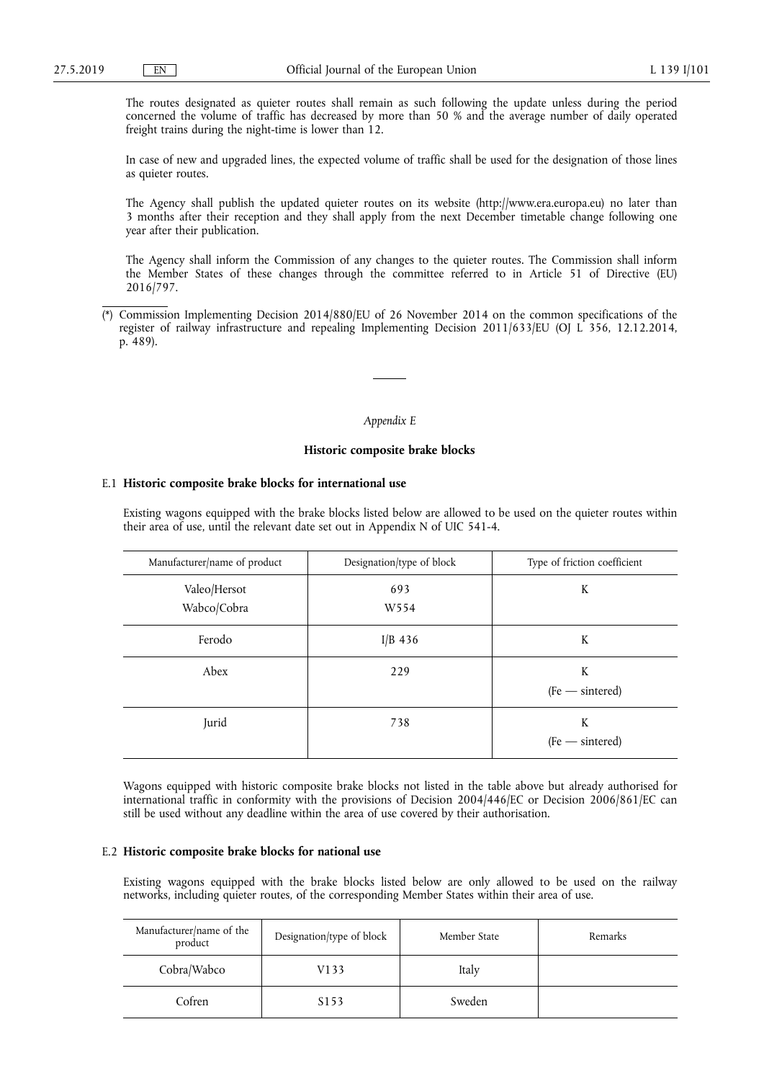The routes designated as quieter routes shall remain as such following the update unless during the period concerned the volume of traffic has decreased by more than 50 % and the average number of daily operated freight trains during the night-time is lower than 12.

In case of new and upgraded lines, the expected volume of traffic shall be used for the designation of those lines as quieter routes.

The Agency shall publish the updated quieter routes on its website [\(http://www.era.europa.eu\)](http://www.era.europa.eu) no later than 3 months after their reception and they shall apply from the next December timetable change following one year after their publication.

The Agency shall inform the Commission of any changes to the quieter routes. The Commission shall inform the Member States of these changes through the committee referred to in Article 51 of Directive (EU) 2016/797.

#### *Appendix E*

## **Historic composite brake blocks**

## E.1 **Historic composite brake blocks for international use**

Existing wagons equipped with the brake blocks listed below are allowed to be used on the quieter routes within their area of use, until the relevant date set out in Appendix N of UIC 541-4.

| Manufacturer/name of product | Designation/type of block | Type of friction coefficient |
|------------------------------|---------------------------|------------------------------|
| Valeo/Hersot<br>Wabco/Cobra  | 693<br>W <sub>554</sub>   | K                            |
| Ferodo                       | I/B $436$                 | K                            |
| Abex                         | 229                       | K<br>$(Fe - sintered)$       |
| Jurid                        | 738                       | K<br>$(Fe - sintered)$       |

Wagons equipped with historic composite brake blocks not listed in the table above but already authorised for international traffic in conformity with the provisions of Decision 2004/446/EC or Decision 2006/861/EC can still be used without any deadline within the area of use covered by their authorisation.

### E.2 **Historic composite brake blocks for national use**

Existing wagons equipped with the brake blocks listed below are only allowed to be used on the railway networks, including quieter routes, of the corresponding Member States within their area of use.

| Manufacturer/name of the<br>product | Designation/type of block | Member State | Remarks |
|-------------------------------------|---------------------------|--------------|---------|
| Cobra/Wabco                         | V133                      | Italy        |         |
| Cofren                              | S <sub>153</sub>          | Sweden       |         |

Commission Implementing Decision 2014/880/EU of 26 November 2014 on the common specifications of the register of railway infrastructure and repealing Implementing Decision 2011/633/EU (OJ L 356, 12.12.2014, p. 489).